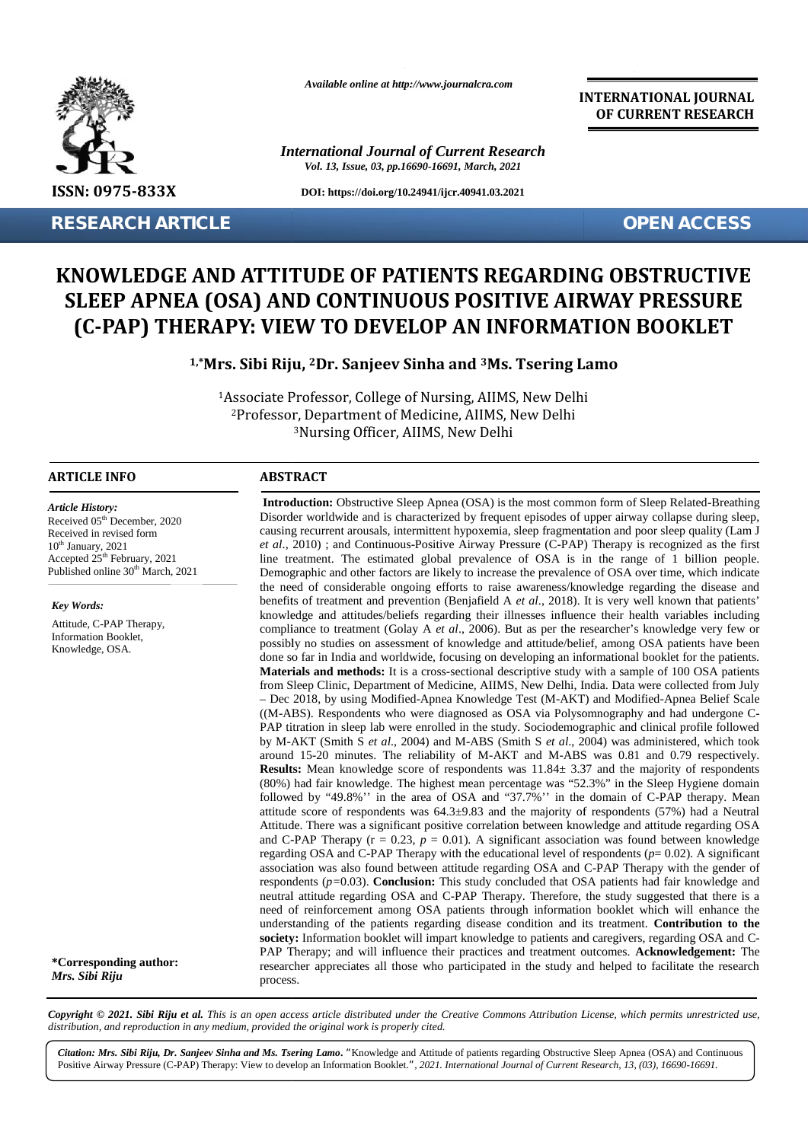

**RESEARCH ARTICLE OPEN ACCESS**

*Available online at http://www.journalcra.com*

*International Journal of Current Research Vol. 13, Issue, 03, pp.16690-16691, March, 2021*

**DOI: https://doi.org/10.24941/ijcr.40941.03.2021**

**INTERNATIONAL JOURNAL OF CURRENT RESEARCH**

## **KNOWLEDGE AND ATTITUDE OF PATIENTS REGARDING OBSTRUCTIVE SLEEP APNEA (OSA) AND CONTINUOUS POSITIVE AIRWAY PRESSURE (C-PAP) THERAPY: VIEW TO DEVELOP AN INFORMATION BOOKLET** KNOWLEDGE AND ATTITUDE OF PATIENTS REGARDING OBSTRUCTIVE<br>SLEEP APNEA (OSA) AND CONTINUOUS POSITIVE AIRWAY PRESSURE<br>(C-PAP) THERAPY: VIEW TO DEVELOP AN INFORMATION BOOKLET

**1,\*Mrs. Sibi Riju, <sup>2</sup>Dr. Sanjeev Sinha and <sup>3</sup>Ms. Tsering Lamo Lamo**

<sup>1</sup>Associate Professor, College of Nursing, AIIMS, New Delhi <sup>2</sup>Professor, Department of Medicine, AIIMS, New Delhi <sup>3</sup>Nursing Officer, AllMS, New Delhi

### **ARTICLE INFO ABSTRACT ARTICLE ABSTRACT**

*Article History: Article History:*  $\text{Received } 05^{\text{th}}$  December, 2020 Received in revised form Received in revised form  $10<sup>th</sup> January, 2021$  $\frac{10^{16}}{\text{Received in revised form}}$ <br>  $\frac{10^{16}}{\text{January, } 2021}$   $\frac{10^{16}}{\text{Perbed 25}}$   $\frac{10^{16}}{\text{Perbed 25}}$   $\frac{10^{16}}{\text{Perbed 25}}$   $\frac{10^{16}}{\text{Perbed 25}}$   $\frac{10^{16}}{\text{Perbed 25}}$   $\frac{10^{16}}{\text{Perbed 25}}$   $\frac{10^{16}}{\text{Perbed 25}}$   $\frac{10^{16}}{\text{Perbed 25}}$   $\frac{10$ Published online  $30<sup>th</sup>$  March, 2021 **KNOWLE**<br> **KNOWLE**<br> **C-PAP**<br> **C-PAP**<br> **C-PAP**<br> **RIFICLE INFO**<br> **RESECAPP**<br> **RESECAPP**<br> **RESECAPP**<br> **RESECAPP**<br> **RESECAPP**<br> **RESECAPP**<br> **RESECAPP**<br> **RESECAPP**<br> **RESECAPP**<br> **RESECAPP**<br> **RESECAPP**<br> **RESECAPP**<br> **RESECAPP**<br> **RE** 

*Key Words:* Attitude, C-PAP Therapy, Information Booklet,

Knowledge, OSA.

**\*Corresponding author:** *Mrs. Sibi Riju*

**Introduction:** Obstructive Sleep Apnea (OSA) is the most common form of Sleep Related-Breathing Disorder worldwide and is characterized by frequent episodes of upper airway collapse during sleep, **Introduction:** Obstructive Sleep Apnea (OSA) is the most common form of Sleep Related-Breathing Disorder worldwide and is characterized by frequent episodes of upper airway collapse during sleep, causing recurrent arousal *et al*., 2010) ; and Continuous-Positive Airway Pressure (C-PAP) Therapy is recognized as the first line treatment. The estimated global prevalence of OSA is in the range of 1 billion people. Demographic and other factors are likely to increase the prevalence of OSA over time, which indicate the need of considerable ongoing efforts to raise awareness/knowledge regarding the disease and benefits of treatment and prevention (Benjafield A *et al*., 2018). It is very well known that patients' knowledge and attitudes/beliefs regarding their illnesses influence their health variables including knowledge and attitudes/beliefs regarding their illnesses influence their health variables including<br>compliance to treatment (Golay A *et al.*, 2006). But as per the researcher's knowledge very few or possibly no studies on assessment of knowledge and attitude/belief, among OSA patients have been possibly no studies on assessment of knowledge and attitude/belief, among OSA patients have been<br>done so far in India and worldwide, focusing on developing an informational booklet for the patients. **Materials and methods:** It is a cross-sectional descriptive study with a sample of 100 OSA patients **Materials**  from Sleep Clinic, Department of Medicine, AIIMS, New Delhi, India. Data were collected from July – Dec 2018, by using Modified-Apnea Knowledge Test (M-AKT) and Modified-Apnea Belief Scale ((M-ABS). Respondents who were diagnosed as OSA via Polysomnography and had undergone C- PAP titration in sleep lab were enrolled in the study. Sociodemographic and clinical profile followed by M-AKT (Smith S *et al*., 2004) and M-ABS (Smith S *et al*., 2004) was administered, which took by M-AKT (Smith S *et al.*, 2004) and M-ABS (Smith S *et al.*, 2004) was administered, which took around 15-20 minutes. The reliability of M-AKT and M-ABS was 0.81 and 0.79 respectively. **Results:** Mean knowledge score of respondents was  $11.84 \pm 3.37$  and the majority of respondents (80%) had fair knowledge. The highest mean percentage was "52.3%" in the Sleep Hygiene domain around 15-20 minutes. The reliability of M-AKT and M-ABS was 0.81 and 0.79 respectively.<br>**Results:** Mean knowledge score of respondents was  $11.84 \pm 3.37$  and the majority of respondents (80%) had fair knowledge. The high attitude score of respondents was  $64.3\pm9.83$  and the majority of respondents (57%) had a Neutral attitude score of respondents was 64.3±9.83 and the majority of respondents (57%) had a Neutral<br>Attitude. There was a significant positive correlation between knowledge and attitude regarding OSA and C-PAP Therapy  $(r = 0.23, p = 0.01)$ . A significant association was found between knowledge regarding OSA and C-PAP Therapy with the educational level of respondents  $(p= 0.02)$ . A significant association was also found between attitude regarding OSA and C-PAP Therapy with the gender of respondents (*p=*0.03). **Conclusion:** This study concluded that OSA patients had fair knowledge and neutral attitude regarding OSA and C-PAP Therapy. Therefore, the study suggested that there is a need of reinforcement among OSA patients through information booklet which will enhance the understanding of the patients regarding disease condition and its treatment. **Contribution to the society:** Information booklet will impart knowledge to patients and caregivers, regarding OSA and C- PAP Therapy; and will influence their practices and treatment outcomes. **Acknowledgement:** The researcher appreciates all those who participated in the study and helped to facilitate the research process. process.*et al.*, 2010) ; and Continuous-Positive Airway Pressure (C-PAP) Therapy is recognized as the first<br>line treatment. The estimated global prevalence of OSA is in the range of 1 billion people.<br>Demographic and other factors – Dec 2018, by using Modified-Apnea Knowledge Test (M-AKT) and Modified-Apnea Belief Scale ((M-ABS). Respondents who were diagnosed as OSA via Polysomnography and had undergone C-<br>PAP titration in sleep lab were enrolled i and C-PAP Therapy ( $r = 0.23$ ,  $p = 0.01$ ). A significant association was found between knowledge<br>regarding OSA and C-PAP Therapy with the educational level of respondents ( $p=0.02$ ). A significant<br>association was also foun **Constant Common Copyright Controlling and the common consists, intermitted by frequent the case of considerated by frequenty and the case of the case of the case of the case of the case of the case of the case of the case** Disorder vortholoide and is chancelerized by fequent episodes of opper airway collapse during the maximization of the maximization of the maximization of the maximization of the maximization of the maximization of the max

Copyright © 2021. Sibi Riju et al. This is an open access article distributed under the Creative Commons Attribution License, which permits unrestricted use, *distribution, and reproduction in any medium, provided the original work is properly cited.*

*Citation: Mrs. Sibi Riju, Dr. Sanjeev Sinha and Ms. Tsering Lamo***.** *"*Knowledge and Attitude of patients regarding Obstructive Sleep Apnea (OSA) and Continuous Positive Airway Pressure (C-PAP) Therapy: View to develop an Information Booklet.", 2021. International Journal of Current Research, 13, (03), 16690-16691.